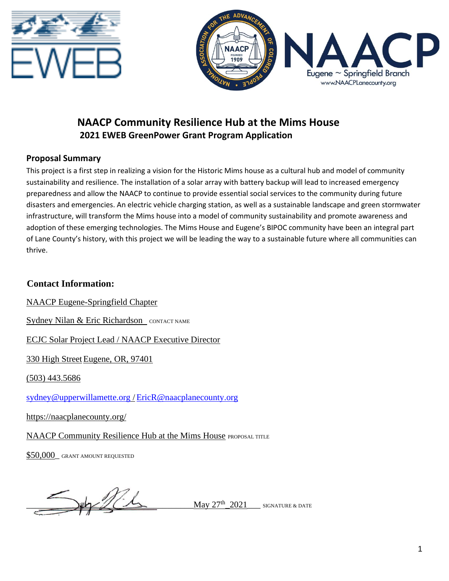



# **NAACP Community Resilience Hub at the Mims House 2021 EWEB GreenPower Grant Program Application**

## **Proposal Summary**

This project is a first step in realizing a vision for the Historic Mims house as a cultural hub and model of community sustainability and resilience. The installation of a solar array with battery backup will lead to increased emergency preparedness and allow the NAACP to continue to provide essential social services to the community during future disasters and emergencies. An electric vehicle charging station, as well as a sustainable landscape and green stormwater infrastructure, will transform the Mims house into a model of community sustainability and promote awareness and adoption of these emerging technologies. The Mims House and Eugene's BIPOC community have been an integral part of Lane County's history, with this project we will be leading the way to a sustainable future where all communities can thrive.

## **Contact Information:**

NAACP Eugene-Springfield Chapter

Sydney Nilan & Eric Richardson CONTACT NAME

ECJC Solar Project Lead / NAACP Executive Director

330 High Street Eugene, OR, 97401

(503) 443.5686

[sydney@upperwillamette.org](mailto:sydney@upperwillamette.org) [/EricR@naacplanecounty.org](mailto:EricR@naacplanecounty.org)

https://naacplanecounty.org/

NAACP Community Resilience Hub at the Mims House PROPOSAL TITLE

\$50,000 GRANT AMOUNT REQUESTED

May  $27^{th}$  2021 SIGNATURE & DATE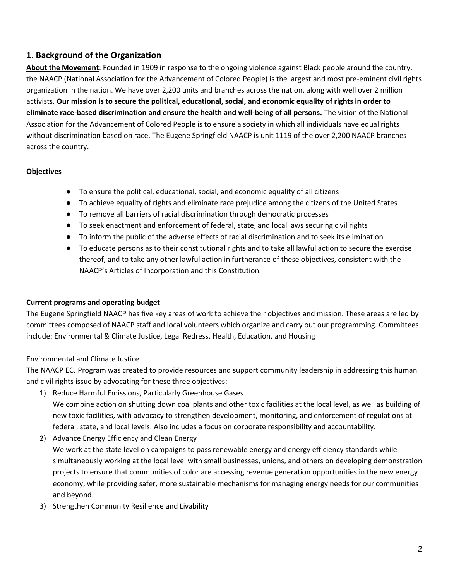## **1. Background of the Organization**

**About the Movement**: Founded in 1909 in response to the ongoing violence against Black people around the country, the NAACP (National Association for the Advancement of Colored People) is the largest and most pre-eminent civil rights organization in the nation. We have over 2,200 units and branches across the nation, along with well over 2 million activists. **Our mission is to secure the political, educational, social, and economic equality of rights in order to eliminate race-based discrimination and ensure the health and well-being of all persons.** The vision of the National Association for the Advancement of Colored People is to ensure a society in which all individuals have equal rights without discrimination based on race. The Eugene Springfield NAACP is unit 1119 of the over 2,200 NAACP branches across the country.

## **Objectives**

- To ensure the political, educational, social, and economic equality of all citizens
- To achieve equality of rights and eliminate race prejudice among the citizens of the United States
- To remove all barriers of racial discrimination through democratic processes
- To seek enactment and enforcement of federal, state, and local laws securing civil rights
- To inform the public of the adverse effects of racial discrimination and to seek its elimination
- To educate persons as to their constitutional rights and to take all lawful action to secure the exercise thereof, and to take any other lawful action in furtherance of these objectives, consistent with the NAACP's Articles of Incorporation and this Constitution.

## **Current programs and operating budget**

The Eugene Springfield NAACP has five key areas of work to achieve their objectives and mission. These areas are led by committees composed of NAACP staff and local volunteers which organize and carry out our programming. Committees include: Environmental & Climate Justice, Legal Redress, Health, Education, and Housing

## Environmental and Climate Justice

The NAACP ECJ Program was created to provide resources and support community leadership in addressing this human and civil rights issue by advocating for these three objectives:

- 1) Reduce Harmful Emissions, Particularly Greenhouse Gases We combine action on shutting down coal plants and other toxic facilities at the local level, as well as building of new toxic facilities, with advocacy to strengthen development, monitoring, and enforcement of regulations at federal, state, and local levels. Also includes a focus on corporate responsibility and accountability.
- 2) Advance Energy Efficiency and Clean Energy

We work at the state level on campaigns to pass renewable energy and energy efficiency standards while simultaneously working at the local level with small businesses, unions, and others on developing demonstration projects to ensure that communities of color are accessing revenue generation opportunities in the new energy economy, while providing safer, more sustainable mechanisms for managing energy needs for our communities and beyond.

3) Strengthen Community Resilience and Livability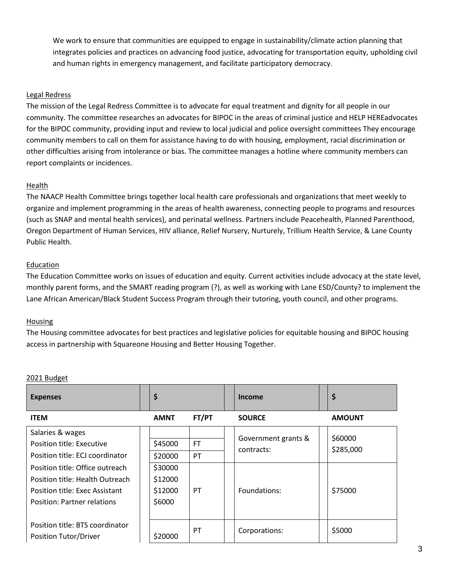We work to ensure that communities are equipped to engage in sustainability/climate action planning that integrates policies and practices on advancing food justice, advocating for transportation equity, upholding civil and human rights in emergency management, and facilitate participatory democracy.

### Legal Redress

The mission of the Legal Redress Committee is to advocate for equal treatment and dignity for all people in our community. The committee researches an advocates for BIPOC in the areas of criminal justice and HELP HEREadvocates for the BIPOC community, providing input and review to local judicial and police oversight committees They encourage community members to call on them for assistance having to do with housing, employment, racial discrimination or other difficulties arising from intolerance or bias. The committee manages a hotline where community members can report complaints or incidences.

#### **Health**

The NAACP Health Committee brings together local health care professionals and organizations that meet weekly to organize and implement programming in the areas of health awareness, connecting people to programs and resources (such as SNAP and mental health services), and perinatal wellness. Partners include Peacehealth, Planned Parenthood, Oregon Department of Human Services, HIV alliance, Relief Nursery, Nurturely, Trillium Health Service, & Lane County Public Health.

#### Education

The Education Committee works on issues of education and equity. Current activities include advocacy at the state level, monthly parent forms, and the SMART reading program (?), as well as working with Lane ESD/County? to implement the Lane African American/Black Student Success Program through their tutoring, youth council, and other programs.

#### Housing

The Housing committee advocates for best practices and legislative policies for equitable housing and BIPOC housing access in partnership with Squareone Housing and Better Housing Together.

#### 2021 Budget

| <b>Expenses</b>                    | \$          |           |  | Income                            |  | \$                   |  |
|------------------------------------|-------------|-----------|--|-----------------------------------|--|----------------------|--|
| <b>ITEM</b>                        | <b>AMNT</b> | FT/PT     |  | <b>SOURCE</b>                     |  | <b>AMOUNT</b>        |  |
| Salaries & wages                   |             |           |  | Government grants &<br>contracts: |  | \$60000<br>\$285,000 |  |
| Position title: Executive          | \$45000     | <b>FT</b> |  |                                   |  |                      |  |
| Position title: ECJ coordinator    | \$20000     | PT        |  |                                   |  |                      |  |
| Position title: Office outreach    | \$30000     |           |  |                                   |  |                      |  |
| Position title: Health Outreach    | \$12000     |           |  |                                   |  |                      |  |
| Position title: Exec Assistant     | \$12000     | PT        |  | Foundations:                      |  | \$75000              |  |
| <b>Position: Partner relations</b> | \$6000      |           |  |                                   |  |                      |  |
|                                    |             |           |  |                                   |  |                      |  |
| Position title: BTS coordinator    |             | PT        |  | Corporations:                     |  | \$5000               |  |
| Position Tutor/Driver              | \$20000     |           |  |                                   |  |                      |  |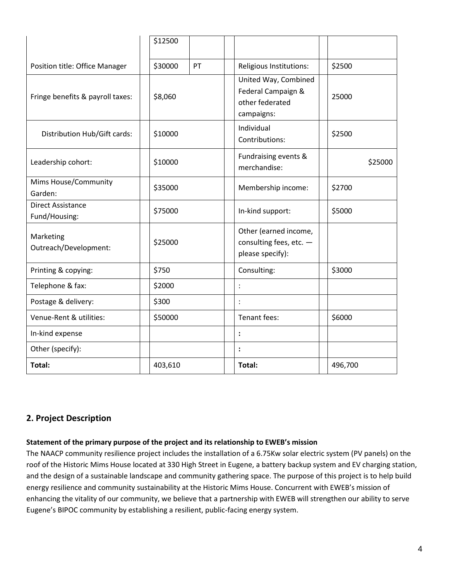|                                           | \$12500 |    |                                                                             |  |         |
|-------------------------------------------|---------|----|-----------------------------------------------------------------------------|--|---------|
| Position title: Office Manager            | \$30000 | PT | Religious Institutions:                                                     |  | \$2500  |
| Fringe benefits & payroll taxes:          | \$8,060 |    | United Way, Combined<br>Federal Campaign &<br>other federated<br>campaigns: |  | 25000   |
| Distribution Hub/Gift cards:              | \$10000 |    | Individual<br>Contributions:                                                |  | \$2500  |
| Leadership cohort:                        | \$10000 |    | Fundraising events &<br>merchandise:                                        |  | \$25000 |
| Mims House/Community<br>Garden:           | \$35000 |    | Membership income:                                                          |  | \$2700  |
| <b>Direct Assistance</b><br>Fund/Housing: | \$75000 |    | In-kind support:                                                            |  | \$5000  |
| Marketing<br>Outreach/Development:        | \$25000 |    | Other (earned income,<br>consulting fees, etc. -<br>please specify):        |  |         |
| Printing & copying:                       | \$750   |    | Consulting:                                                                 |  | \$3000  |
| Telephone & fax:                          | \$2000  |    | $\ddot{\cdot}$                                                              |  |         |
| Postage & delivery:                       | \$300   |    | $\ddot{\cdot}$                                                              |  |         |
| Venue-Rent & utilities:                   | \$50000 |    | Tenant fees:                                                                |  | \$6000  |
| In-kind expense                           |         |    | :                                                                           |  |         |
| Other (specify):                          |         |    | $\ddot{\cdot}$                                                              |  |         |
| Total:                                    | 403,610 |    | Total:                                                                      |  | 496,700 |

## **2. Project Description**

#### **Statement of the primary purpose of the project and its relationship to EWEB's mission**

The NAACP community resilience project includes the installation of a 6.75Kw solar electric system (PV panels) on the roof of the Historic Mims House located at 330 High Street in Eugene, a battery backup system and EV charging station, and the design of a sustainable landscape and community gathering space. The purpose of this project is to help build energy resilience and community sustainability at the Historic Mims House. Concurrent with EWEB's mission of enhancing the vitality of our community, we believe that a partnership with EWEB will strengthen our ability to serve Eugene's BIPOC community by establishing a resilient, public-facing energy system.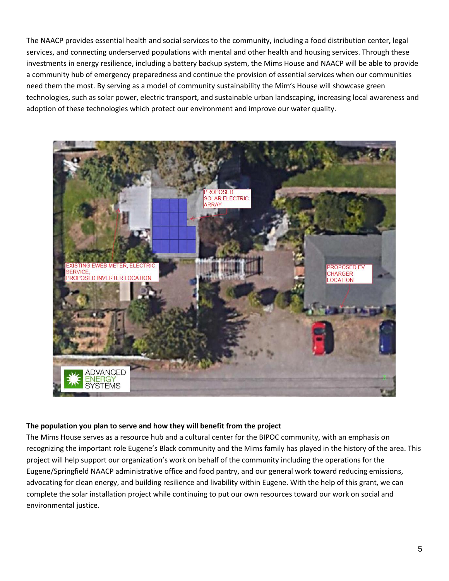The NAACP provides essential health and social services to the community, including a food distribution center, legal services, and connecting underserved populations with mental and other health and housing services. Through these investments in energy resilience, including a battery backup system, the Mims House and NAACP will be able to provide a community hub of emergency preparedness and continue the provision of essential services when our communities need them the most. By serving as a model of community sustainability the Mim's House will showcase green technologies, such as solar power, electric transport, and sustainable urban landscaping, increasing local awareness and adoption of these technologies which protect our environment and improve our water quality.



#### **The population you plan to serve and how they will benefit from the project**

The Mims House serves as a resource hub and a cultural center for the BIPOC community, with an emphasis on recognizing the important role Eugene's Black community and the Mims family has played in the history of the area. This project will help support our organization's work on behalf of the community including the operations for the Eugene/Springfield NAACP administrative office and food pantry, and our general work toward reducing emissions, advocating for clean energy, and building resilience and livability within Eugene. With the help of this grant, we can complete the solar installation project while continuing to put our own resources toward our work on social and environmental justice.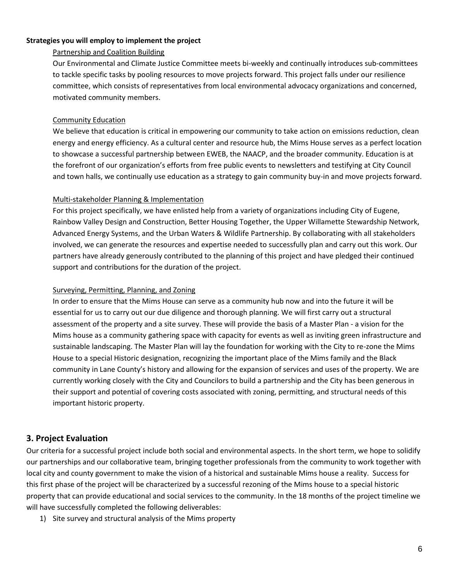### **Strategies you will employ to implement the project**

### Partnership and Coalition Building

Our Environmental and Climate Justice Committee meets bi-weekly and continually introduces sub-committees to tackle specific tasks by pooling resources to move projects forward. This project falls under our resilience committee, which consists of representatives from local environmental advocacy organizations and concerned, motivated community members.

### Community Education

We believe that education is critical in empowering our community to take action on emissions reduction, clean energy and energy efficiency. As a cultural center and resource hub, the Mims House serves as a perfect location to showcase a successful partnership between EWEB, the NAACP, and the broader community. Education is at the forefront of our organization's efforts from free public events to newsletters and testifying at City Council and town halls, we continually use education as a strategy to gain community buy-in and move projects forward.

### Multi-stakeholder Planning & Implementation

For this project specifically, we have enlisted help from a variety of organizations including City of Eugene, Rainbow Valley Design and Construction, Better Housing Together, the Upper Willamette Stewardship Network, Advanced Energy Systems, and the Urban Waters & Wildlife Partnership. By collaborating with all stakeholders involved, we can generate the resources and expertise needed to successfully plan and carry out this work. Our partners have already generously contributed to the planning of this project and have pledged their continued support and contributions for the duration of the project.

### Surveying, Permitting, Planning, and Zoning

In order to ensure that the Mims House can serve as a community hub now and into the future it will be essential for us to carry out our due diligence and thorough planning. We will first carry out a structural assessment of the property and a site survey. These will provide the basis of a Master Plan - a vision for the Mims house as a community gathering space with capacity for events as well as inviting green infrastructure and sustainable landscaping. The Master Plan will lay the foundation for working with the City to re-zone the Mims House to a special Historic designation, recognizing the important place of the Mims family and the Black community in Lane County's history and allowing for the expansion of services and uses of the property. We are currently working closely with the City and Councilors to build a partnership and the City has been generous in their support and potential of covering costs associated with zoning, permitting, and structural needs of this important historic property.

## **3. Project Evaluation**

Our criteria for a successful project include both social and environmental aspects. In the short term, we hope to solidify our partnerships and our collaborative team, bringing together professionals from the community to work together with local city and county government to make the vision of a historical and sustainable Mims house a reality. Success for this first phase of the project will be characterized by a successful rezoning of the Mims house to a special historic property that can provide educational and social services to the community. In the 18 months of the project timeline we will have successfully completed the following deliverables:

1) Site survey and structural analysis of the Mims property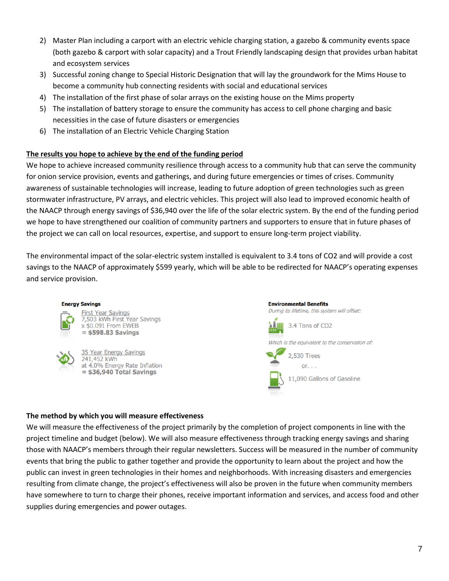- 2) Master Plan including a carport with an electric vehicle charging station, a gazebo & community events space (both gazebo & carport with solar capacity) and a Trout Friendly landscaping design that provides urban habitat and ecosystem services
- 3) Successful zoning change to Special Historic Designation that will lay the groundwork for the Mims House to become a community hub connecting residents with social and educational services
- 4) The installation of the first phase of solar arrays on the existing house on the Mims property
- 5) The installation of battery storage to ensure the community has access to cell phone charging and basic necessities in the case of future disasters or emergencies
- 6) The installation of an Electric Vehicle Charging Station

## **The results you hope to achieve by the end of the funding period**

We hope to achieve increased community resilience through access to a community hub that can serve the community for onion service provision, events and gatherings, and during future emergencies or times of crises. Community awareness of sustainable technologies will increase, leading to future adoption of green technologies such as green stormwater infrastructure, PV arrays, and electric vehicles. This project will also lead to improved economic health of the NAACP through energy savings of \$36,940 over the life of the solar electric system. By the end of the funding period we hope to have strengthened our coalition of community partners and supporters to ensure that in future phases of the project we can call on local resources, expertise, and support to ensure long-term project viability.

The environmental impact of the solar-electric system installed is equivalent to 3.4 tons of CO2 and will provide a cost savings to the NAACP of approximately \$599 yearly, which will be able to be redirected for NAACP's operating expenses and service provision.

#### **Energy Savings**



**First Year Savings** 7,503 kWh First Year Savings x \$0.091 From EWEB  $=$  \$598.83 Savings

35 Year Energy Savings 241,452 kWh at 4.0% Energy Rate Inflation  $=$  \$36,940 Total Savings



#### **The method by which you will measure effectiveness**

We will measure the effectiveness of the project primarily by the completion of project components in line with the project timeline and budget (below). We will also measure effectiveness through tracking energy savings and sharing those with NAACP's members through their regular newsletters. Success will be measured in the number of community events that bring the public to gather together and provide the opportunity to learn about the project and how the public can invest in green technologies in their homes and neighborhoods. With increasing disasters and emergencies resulting from climate change, the project's effectiveness will also be proven in the future when community members have somewhere to turn to charge their phones, receive important information and services, and access food and other supplies during emergencies and power outages.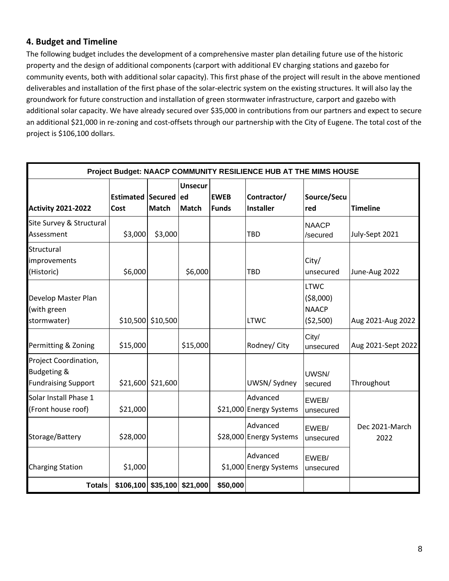## **4. Budget and Timeline**

The following budget includes the development of a comprehensive master plan detailing future use of the historic property and the design of additional components (carport with additional EV charging stations and gazebo for community events, both with additional solar capacity). This first phase of the project will result in the above mentioned deliverables and installation of the first phase of the solar-electric system on the existing structures. It will also lay the groundwork for future construction and installation of green stormwater infrastructure, carport and gazebo with additional solar capacity. We have already secured over \$35,000 in contributions from our partners and expect to secure an additional \$21,000 in re-zoning and cost-offsets through our partnership with the City of Eugene. The total cost of the project is \$106,100 dollars.

| Project Budget: NAACP COMMUNITY RESILIENCE HUB AT THE MIMS HOUSE              |                              |                                |                                |                             |                                     |                                                       |                        |  |
|-------------------------------------------------------------------------------|------------------------------|--------------------------------|--------------------------------|-----------------------------|-------------------------------------|-------------------------------------------------------|------------------------|--|
| <b>Activity 2021-2022</b>                                                     | Estimated Secured ed<br>Cost | <b>Match</b>                   | <b>Unsecur</b><br><b>Match</b> | <b>EWEB</b><br><b>Funds</b> | Contractor/<br><b>Installer</b>     | Source/Secu<br>red                                    | <b>Timeline</b>        |  |
| Site Survey & Structural<br>Assessment                                        | \$3,000                      | \$3,000                        |                                |                             | <b>TBD</b>                          | <b>NAACP</b><br>/secured                              | July-Sept 2021         |  |
| Structural<br>improvements<br>(Historic)                                      | \$6,000                      |                                | \$6,000                        |                             | TBD                                 | City/<br>unsecured                                    | June-Aug 2022          |  |
| Develop Master Plan<br>(with green<br>stormwater)                             | \$10,500                     | \$10,500                       |                                |                             | <b>LTWC</b>                         | <b>LTWC</b><br>( \$8,000)<br><b>NAACP</b><br>(52,500) | Aug 2021-Aug 2022      |  |
| Permitting & Zoning                                                           | \$15,000                     |                                | \$15,000                       |                             | Rodney/ City                        | City/<br>unsecured                                    | Aug 2021-Sept 2022     |  |
| Project Coordination,<br><b>Budgeting &amp;</b><br><b>Fundraising Support</b> | \$21,600                     | \$21,600                       |                                |                             | UWSN/Sydney                         | UWSN/<br>secured                                      | Throughout             |  |
| Solar Install Phase 1<br>(Front house roof)                                   | \$21,000                     |                                |                                |                             | Advanced<br>\$21,000 Energy Systems | EWEB/<br>unsecured                                    |                        |  |
| Storage/Battery                                                               | \$28,000                     |                                |                                |                             | Advanced<br>\$28,000 Energy Systems | EWEB/<br>unsecured                                    | Dec 2021-March<br>2022 |  |
| <b>Charging Station</b>                                                       | \$1,000                      |                                |                                |                             | Advanced<br>\$1,000 Energy Systems  | EWEB/<br>unsecured                                    |                        |  |
| <b>Totals</b>                                                                 |                              | $$106,100$ $$35,100$ $$21,000$ |                                | \$50,000                    |                                     |                                                       |                        |  |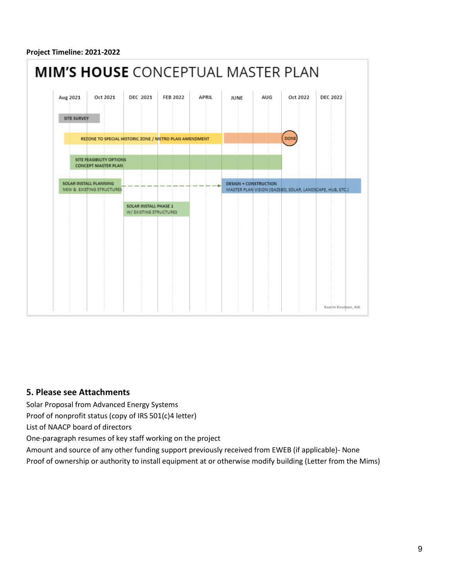#### **Project Timeline: 2021-2022**



## **5. Please see Attachments**

Solar Proposal from Advanced Energy Systems

Proof of nonprofit status (copy of IRS 501(c)4 letter)

List of NAACP board of directors

One-paragraph resumes of key staff working on the project

Amount and source of any other funding support previously received from EWEB (if applicable)- None

Proof of ownership or authority to install equipment at or otherwise modify building (Letter from the Mims)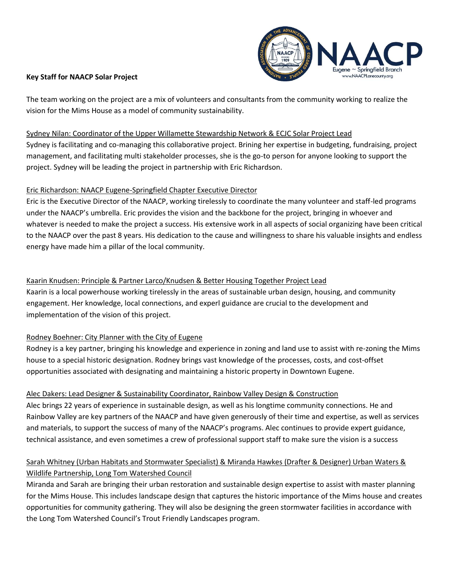

### **Key Staff for NAACP Solar Project**

The team working on the project are a mix of volunteers and consultants from the community working to realize the vision for the Mims House as a model of community sustainability.

## Sydney Nilan: Coordinator of the Upper Willamette Stewardship Network & ECJC Solar Project Lead

Sydney is facilitating and co-managing this collaborative project. Brining her expertise in budgeting, fundraising, project management, and facilitating multi stakeholder processes, she is the go-to person for anyone looking to support the project. Sydney will be leading the project in partnership with Eric Richardson.

## Eric Richardson: NAACP Eugene-Springfield Chapter Executive Director

Eric is the Executive Director of the NAACP, working tirelessly to coordinate the many volunteer and staff-led programs under the NAACP's umbrella. Eric provides the vision and the backbone for the project, bringing in whoever and whatever is needed to make the project a success. His extensive work in all aspects of social organizing have been critical to the NAACP over the past 8 years. His dedication to the cause and willingness to share his valuable insights and endless energy have made him a pillar of the local community.

## Kaarin Knudsen: Principle & Partner Larco/Knudsen & Better Housing Together Project Lead

Kaarin is a local powerhouse working tirelessly in the areas of sustainable urban design, housing, and community engagement. Her knowledge, local connections, and experl guidance are crucial to the development and implementation of the vision of this project.

## Rodney Boehner: City Planner with the City of Eugene

Rodney is a key partner, bringing his knowledge and experience in zoning and land use to assist with re-zoning the Mims house to a special historic designation. Rodney brings vast knowledge of the processes, costs, and cost-offset opportunities associated with designating and maintaining a historic property in Downtown Eugene.

## Alec Dakers: Lead Designer & Sustainability Coordinator, Rainbow Valley Design & Construction

Alec brings 22 years of experience in sustainable design, as well as his longtime community connections. He and Rainbow Valley are key partners of the NAACP and have given generously of their time and expertise, as well as services and materials, to support the success of many of the NAACP's programs. Alec continues to provide expert guidance, technical assistance, and even sometimes a crew of professional support staff to make sure the vision is a success

## Sarah Whitney (Urban Habitats and Stormwater Specialist) & Miranda Hawkes (Drafter & Designer) Urban Waters & Wildlife Partnership, Long Tom Watershed Council

Miranda and Sarah are bringing their urban restoration and sustainable design expertise to assist with master planning for the Mims House. This includes landscape design that captures the historic importance of the Mims house and creates opportunities for community gathering. They will also be designing the green stormwater facilities in accordance with the Long Tom Watershed Council's Trout Friendly Landscapes program.